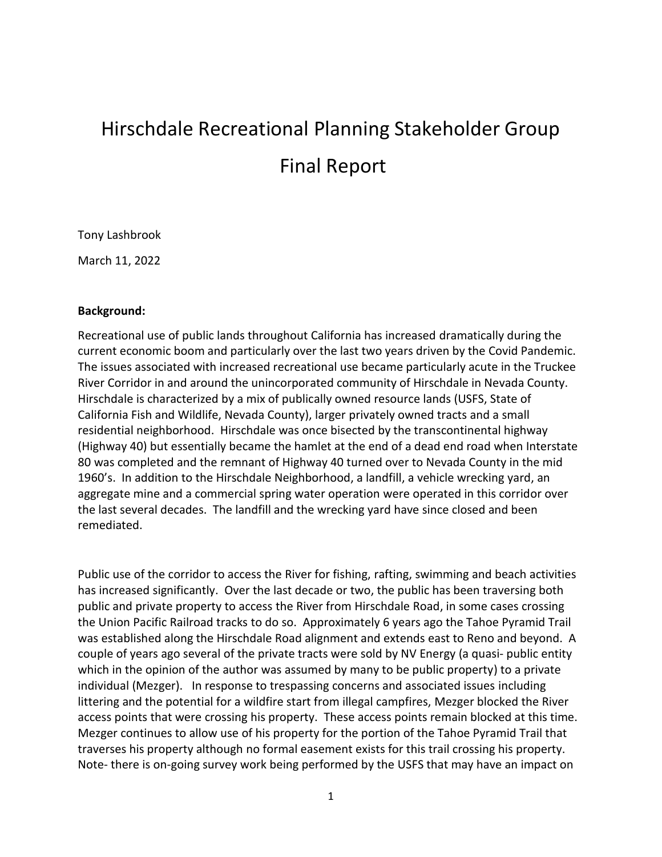# Hirschdale Recreational Planning Stakeholder Group Final Report

Tony Lashbrook

March 11, 2022

### **Background:**

Recreational use of public lands throughout California has increased dramatically during the current economic boom and particularly over the last two years driven by the Covid Pandemic. The issues associated with increased recreational use became particularly acute in the Truckee River Corridor in and around the unincorporated community of Hirschdale in Nevada County. Hirschdale is characterized by a mix of publically owned resource lands (USFS, State of California Fish and Wildlife, Nevada County), larger privately owned tracts and a small residential neighborhood. Hirschdale was once bisected by the transcontinental highway (Highway 40) but essentially became the hamlet at the end of a dead end road when Interstate 80 was completed and the remnant of Highway 40 turned over to Nevada County in the mid 1960's. In addition to the Hirschdale Neighborhood, a landfill, a vehicle wrecking yard, an aggregate mine and a commercial spring water operation were operated in this corridor over the last several decades. The landfill and the wrecking yard have since closed and been remediated.

Public use of the corridor to access the River for fishing, rafting, swimming and beach activities has increased significantly. Over the last decade or two, the public has been traversing both public and private property to access the River from Hirschdale Road, in some cases crossing the Union Pacific Railroad tracks to do so. Approximately 6 years ago the Tahoe Pyramid Trail was established along the Hirschdale Road alignment and extends east to Reno and beyond. A couple of years ago several of the private tracts were sold by NV Energy (a quasi- public entity which in the opinion of the author was assumed by many to be public property) to a private individual (Mezger). In response to trespassing concerns and associated issues including littering and the potential for a wildfire start from illegal campfires, Mezger blocked the River access points that were crossing his property. These access points remain blocked at this time. Mezger continues to allow use of his property for the portion of the Tahoe Pyramid Trail that traverses his property although no formal easement exists for this trail crossing his property. Note- there is on-going survey work being performed by the USFS that may have an impact on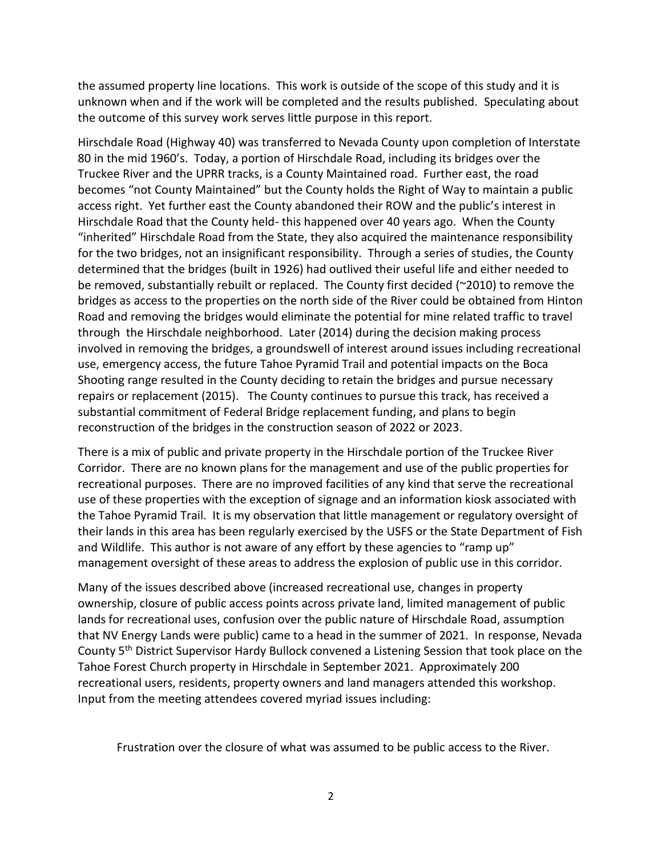the assumed property line locations. This work is outside of the scope of this study and it is unknown when and if the work will be completed and the results published. Speculating about the outcome of this survey work serves little purpose in this report.

Hirschdale Road (Highway 40) was transferred to Nevada County upon completion of Interstate 80 in the mid 1960's. Today, a portion of Hirschdale Road, including its bridges over the Truckee River and the UPRR tracks, is a County Maintained road. Further east, the road becomes "not County Maintained" but the County holds the Right of Way to maintain a public access right. Yet further east the County abandoned their ROW and the public's interest in Hirschdale Road that the County held- this happened over 40 years ago. When the County "inherited" Hirschdale Road from the State, they also acquired the maintenance responsibility for the two bridges, not an insignificant responsibility. Through a series of studies, the County determined that the bridges (built in 1926) had outlived their useful life and either needed to be removed, substantially rebuilt or replaced. The County first decided (~2010) to remove the bridges as access to the properties on the north side of the River could be obtained from Hinton Road and removing the bridges would eliminate the potential for mine related traffic to travel through the Hirschdale neighborhood. Later (2014) during the decision making process involved in removing the bridges, a groundswell of interest around issues including recreational use, emergency access, the future Tahoe Pyramid Trail and potential impacts on the Boca Shooting range resulted in the County deciding to retain the bridges and pursue necessary repairs or replacement (2015). The County continues to pursue this track, has received a substantial commitment of Federal Bridge replacement funding, and plans to begin reconstruction of the bridges in the construction season of 2022 or 2023.

There is a mix of public and private property in the Hirschdale portion of the Truckee River Corridor. There are no known plans for the management and use of the public properties for recreational purposes. There are no improved facilities of any kind that serve the recreational use of these properties with the exception of signage and an information kiosk associated with the Tahoe Pyramid Trail. It is my observation that little management or regulatory oversight of their lands in this area has been regularly exercised by the USFS or the State Department of Fish and Wildlife. This author is not aware of any effort by these agencies to "ramp up" management oversight of these areas to address the explosion of public use in this corridor.

Many of the issues described above (increased recreational use, changes in property ownership, closure of public access points across private land, limited management of public lands for recreational uses, confusion over the public nature of Hirschdale Road, assumption that NV Energy Lands were public) came to a head in the summer of 2021. In response, Nevada County 5th District Supervisor Hardy Bullock convened a Listening Session that took place on the Tahoe Forest Church property in Hirschdale in September 2021. Approximately 200 recreational users, residents, property owners and land managers attended this workshop. Input from the meeting attendees covered myriad issues including:

Frustration over the closure of what was assumed to be public access to the River.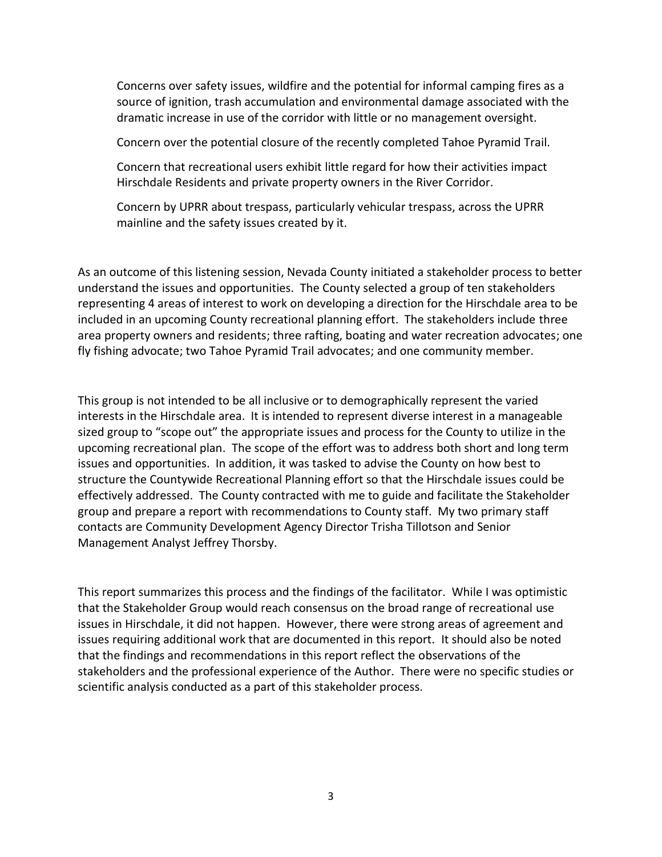Concerns over safety issues, wildfire and the potential for informal camping fires as a source of ignition, trash accumulation and environmental damage associated with the dramatic increase in use of the corridor with little or no management oversight.

Concern over the potential closure of the recently completed Tahoe Pyramid Trail.

Concern that recreational users exhibit little regard for how their activities impact Hirschdale Residents and private property owners in the River Corridor.

Concern by UPRR about trespass, particularly vehicular trespass, across the UPRR mainline and the safety issues created by it.

As an outcome of this listening session, Nevada County initiated a stakeholder process to better understand the issues and opportunities. The County selected a group of ten stakeholders representing 4 areas of interest to work on developing a direction for the Hirschdale area to be included in an upcoming County recreational planning effort. The stakeholders include three area property owners and residents; three rafting, boating and water recreation advocates; one fly fishing advocate; two Tahoe Pyramid Trail advocates; and one community member.

This group is not intended to be all inclusive or to demographically represent the varied interests in the Hirschdale area. It is intended to represent diverse interest in a manageable sized group to "scope out" the appropriate issues and process for the County to utilize in the upcoming recreational plan. The scope of the effort was to address both short and long term issues and opportunities. In addition, it was tasked to advise the County on how best to structure the Countywide Recreational Planning effort so that the Hirschdale issues could be effectively addressed. The County contracted with me to guide and facilitate the Stakeholder group and prepare a report with recommendations to County staff. My two primary staff contacts are Community Development Agency Director Trisha Tillotson and Senior Management Analyst Jeffrey Thorsby.

This report summarizes this process and the findings of the facilitator. While I was optimistic that the Stakeholder Group would reach consensus on the broad range of recreational use issues in Hirschdale, it did not happen. However, there were strong areas of agreement and issues requiring additional work that are documented in this report. It should also be noted that the findings and recommendations in this report reflect the observations of the stakeholders and the professional experience of the Author. There were no specific studies or scientific analysis conducted as a part of this stakeholder process.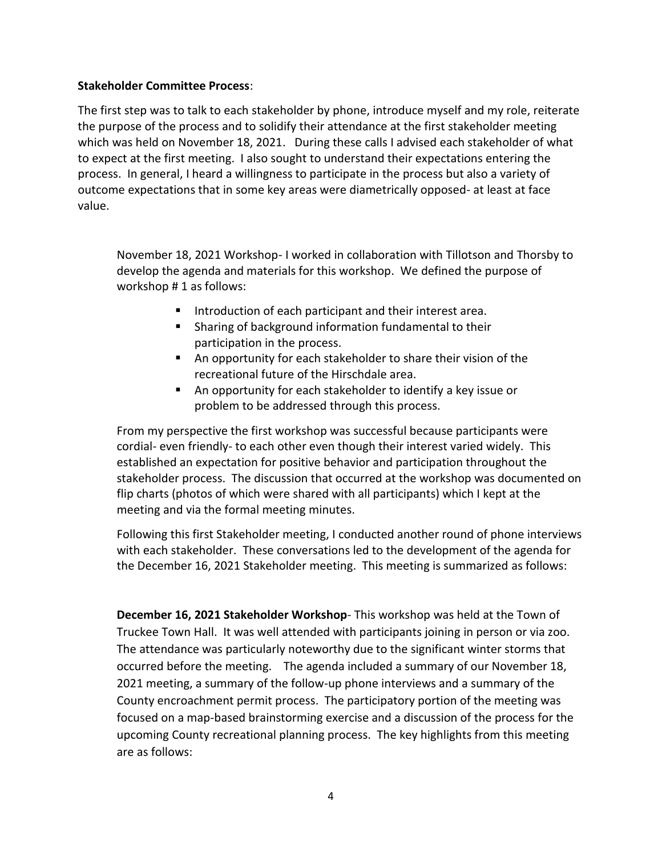## **Stakeholder Committee Process**:

The first step was to talk to each stakeholder by phone, introduce myself and my role, reiterate the purpose of the process and to solidify their attendance at the first stakeholder meeting which was held on November 18, 2021. During these calls I advised each stakeholder of what to expect at the first meeting. I also sought to understand their expectations entering the process. In general, I heard a willingness to participate in the process but also a variety of outcome expectations that in some key areas were diametrically opposed- at least at face value.

November 18, 2021 Workshop- I worked in collaboration with Tillotson and Thorsby to develop the agenda and materials for this workshop. We defined the purpose of workshop # 1 as follows:

- Introduction of each participant and their interest area.
- **EXECT** Sharing of background information fundamental to their participation in the process.
- An opportunity for each stakeholder to share their vision of the recreational future of the Hirschdale area.
- An opportunity for each stakeholder to identify a key issue or problem to be addressed through this process.

From my perspective the first workshop was successful because participants were cordial- even friendly- to each other even though their interest varied widely. This established an expectation for positive behavior and participation throughout the stakeholder process. The discussion that occurred at the workshop was documented on flip charts (photos of which were shared with all participants) which I kept at the meeting and via the formal meeting minutes.

Following this first Stakeholder meeting, I conducted another round of phone interviews with each stakeholder. These conversations led to the development of the agenda for the December 16, 2021 Stakeholder meeting. This meeting is summarized as follows:

**December 16, 2021 Stakeholder Workshop**- This workshop was held at the Town of Truckee Town Hall. It was well attended with participants joining in person or via zoo. The attendance was particularly noteworthy due to the significant winter storms that occurred before the meeting. The agenda included a summary of our November 18, 2021 meeting, a summary of the follow-up phone interviews and a summary of the County encroachment permit process. The participatory portion of the meeting was focused on a map-based brainstorming exercise and a discussion of the process for the upcoming County recreational planning process. The key highlights from this meeting are as follows: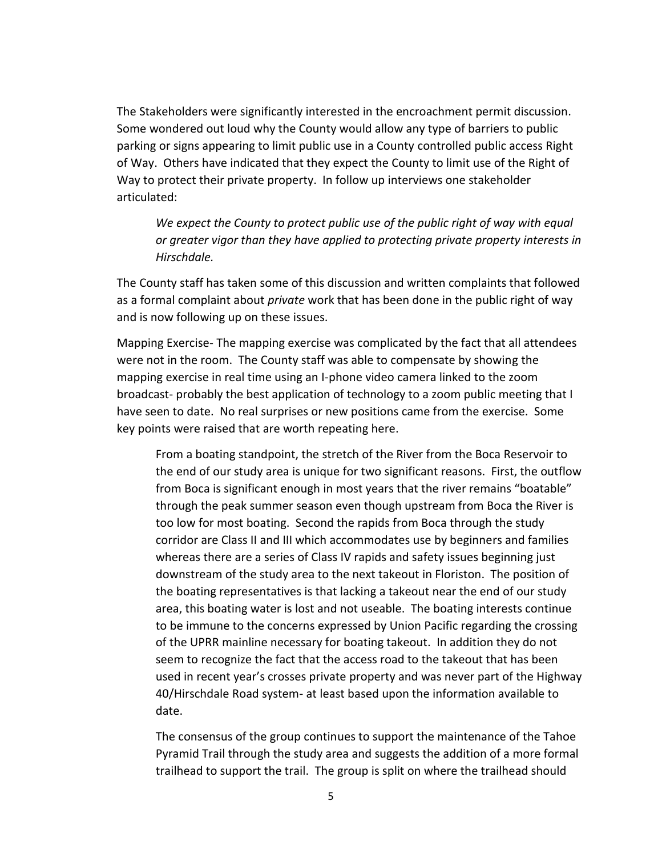The Stakeholders were significantly interested in the encroachment permit discussion. Some wondered out loud why the County would allow any type of barriers to public parking or signs appearing to limit public use in a County controlled public access Right of Way. Others have indicated that they expect the County to limit use of the Right of Way to protect their private property. In follow up interviews one stakeholder articulated:

*We expect the County to protect public use of the public right of way with equal or greater vigor than they have applied to protecting private property interests in Hirschdale.* 

The County staff has taken some of this discussion and written complaints that followed as a formal complaint about *private* work that has been done in the public right of way and is now following up on these issues.

Mapping Exercise- The mapping exercise was complicated by the fact that all attendees were not in the room. The County staff was able to compensate by showing the mapping exercise in real time using an I-phone video camera linked to the zoom broadcast- probably the best application of technology to a zoom public meeting that I have seen to date. No real surprises or new positions came from the exercise. Some key points were raised that are worth repeating here.

From a boating standpoint, the stretch of the River from the Boca Reservoir to the end of our study area is unique for two significant reasons. First, the outflow from Boca is significant enough in most years that the river remains "boatable" through the peak summer season even though upstream from Boca the River is too low for most boating. Second the rapids from Boca through the study corridor are Class II and III which accommodates use by beginners and families whereas there are a series of Class IV rapids and safety issues beginning just downstream of the study area to the next takeout in Floriston. The position of the boating representatives is that lacking a takeout near the end of our study area, this boating water is lost and not useable. The boating interests continue to be immune to the concerns expressed by Union Pacific regarding the crossing of the UPRR mainline necessary for boating takeout. In addition they do not seem to recognize the fact that the access road to the takeout that has been used in recent year's crosses private property and was never part of the Highway 40/Hirschdale Road system- at least based upon the information available to date.

The consensus of the group continues to support the maintenance of the Tahoe Pyramid Trail through the study area and suggests the addition of a more formal trailhead to support the trail. The group is split on where the trailhead should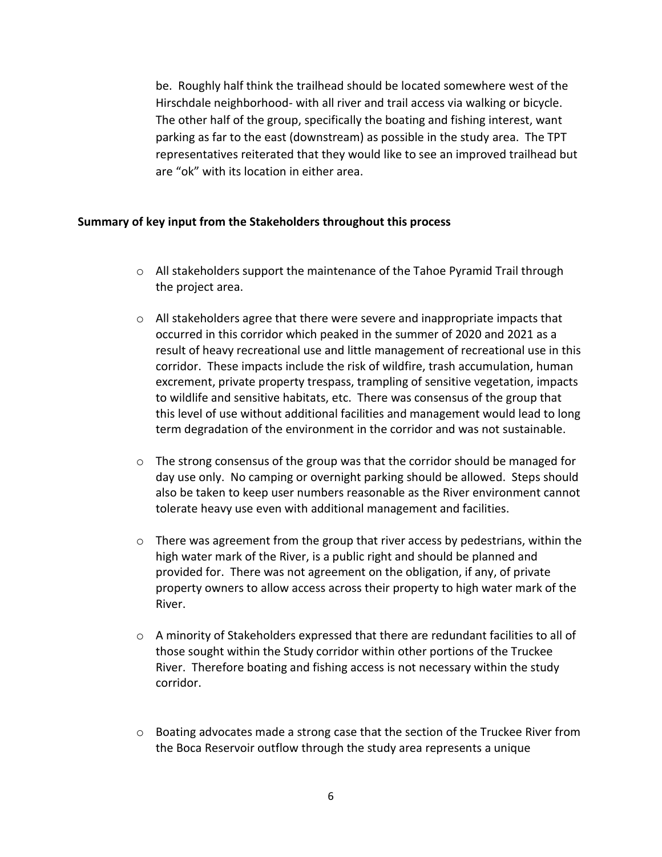be. Roughly half think the trailhead should be located somewhere west of the Hirschdale neighborhood- with all river and trail access via walking or bicycle. The other half of the group, specifically the boating and fishing interest, want parking as far to the east (downstream) as possible in the study area. The TPT representatives reiterated that they would like to see an improved trailhead but are "ok" with its location in either area.

#### **Summary of key input from the Stakeholders throughout this process**

- $\circ$  All stakeholders support the maintenance of the Tahoe Pyramid Trail through the project area.
- $\circ$  All stakeholders agree that there were severe and inappropriate impacts that occurred in this corridor which peaked in the summer of 2020 and 2021 as a result of heavy recreational use and little management of recreational use in this corridor. These impacts include the risk of wildfire, trash accumulation, human excrement, private property trespass, trampling of sensitive vegetation, impacts to wildlife and sensitive habitats, etc. There was consensus of the group that this level of use without additional facilities and management would lead to long term degradation of the environment in the corridor and was not sustainable.
- $\circ$  The strong consensus of the group was that the corridor should be managed for day use only. No camping or overnight parking should be allowed. Steps should also be taken to keep user numbers reasonable as the River environment cannot tolerate heavy use even with additional management and facilities.
- $\circ$  There was agreement from the group that river access by pedestrians, within the high water mark of the River, is a public right and should be planned and provided for. There was not agreement on the obligation, if any, of private property owners to allow access across their property to high water mark of the River.
- $\circ$  A minority of Stakeholders expressed that there are redundant facilities to all of those sought within the Study corridor within other portions of the Truckee River. Therefore boating and fishing access is not necessary within the study corridor.
- o Boating advocates made a strong case that the section of the Truckee River from the Boca Reservoir outflow through the study area represents a unique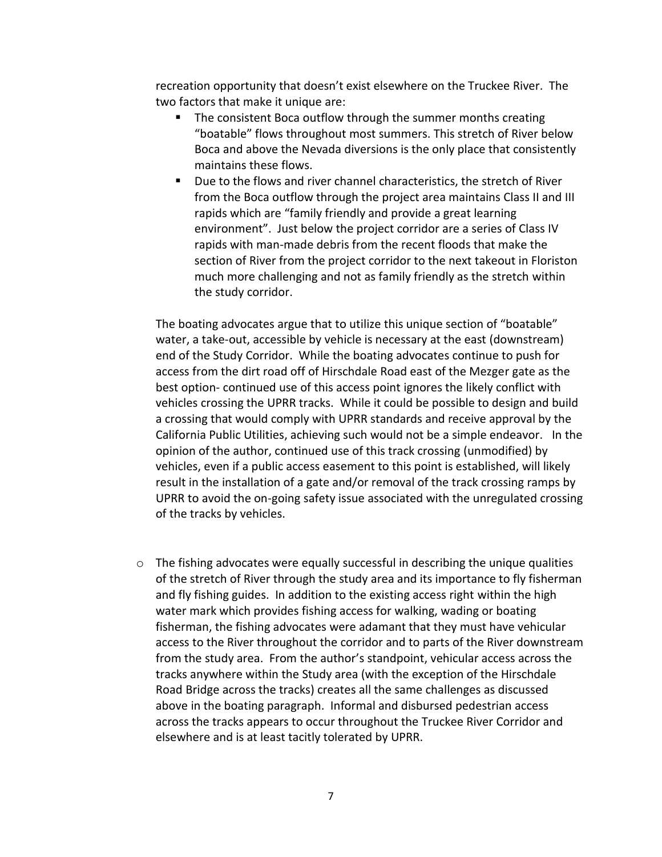recreation opportunity that doesn't exist elsewhere on the Truckee River. The two factors that make it unique are:

- The consistent Boca outflow through the summer months creating "boatable" flows throughout most summers. This stretch of River below Boca and above the Nevada diversions is the only place that consistently maintains these flows.
- Due to the flows and river channel characteristics, the stretch of River from the Boca outflow through the project area maintains Class II and III rapids which are "family friendly and provide a great learning environment". Just below the project corridor are a series of Class IV rapids with man-made debris from the recent floods that make the section of River from the project corridor to the next takeout in Floriston much more challenging and not as family friendly as the stretch within the study corridor.

The boating advocates argue that to utilize this unique section of "boatable" water, a take-out, accessible by vehicle is necessary at the east (downstream) end of the Study Corridor. While the boating advocates continue to push for access from the dirt road off of Hirschdale Road east of the Mezger gate as the best option- continued use of this access point ignores the likely conflict with vehicles crossing the UPRR tracks. While it could be possible to design and build a crossing that would comply with UPRR standards and receive approval by the California Public Utilities, achieving such would not be a simple endeavor. In the opinion of the author, continued use of this track crossing (unmodified) by vehicles, even if a public access easement to this point is established, will likely result in the installation of a gate and/or removal of the track crossing ramps by UPRR to avoid the on-going safety issue associated with the unregulated crossing of the tracks by vehicles.

 $\circ$  The fishing advocates were equally successful in describing the unique qualities of the stretch of River through the study area and its importance to fly fisherman and fly fishing guides. In addition to the existing access right within the high water mark which provides fishing access for walking, wading or boating fisherman, the fishing advocates were adamant that they must have vehicular access to the River throughout the corridor and to parts of the River downstream from the study area. From the author's standpoint, vehicular access across the tracks anywhere within the Study area (with the exception of the Hirschdale Road Bridge across the tracks) creates all the same challenges as discussed above in the boating paragraph. Informal and disbursed pedestrian access across the tracks appears to occur throughout the Truckee River Corridor and elsewhere and is at least tacitly tolerated by UPRR.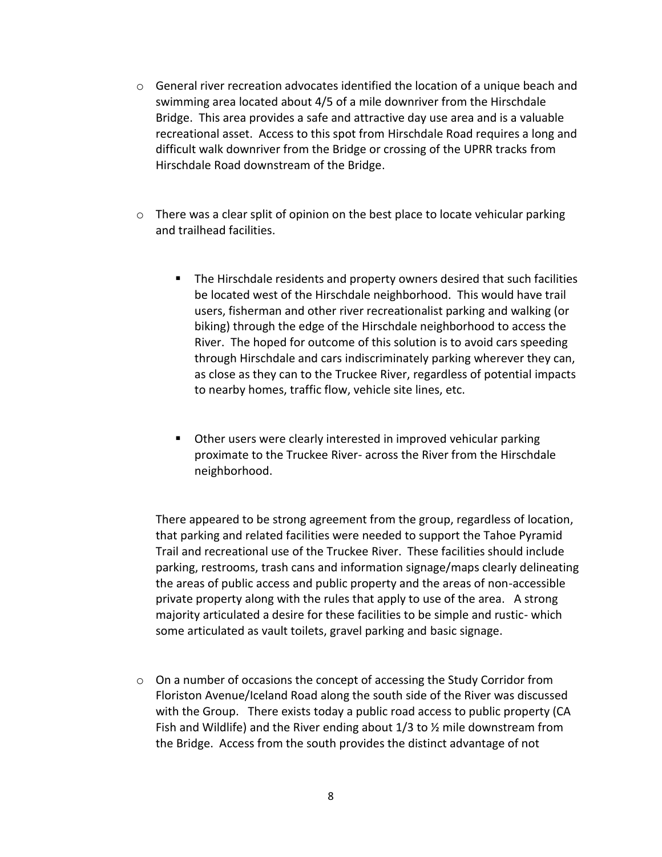- $\circ$  General river recreation advocates identified the location of a unique beach and swimming area located about 4/5 of a mile downriver from the Hirschdale Bridge. This area provides a safe and attractive day use area and is a valuable recreational asset. Access to this spot from Hirschdale Road requires a long and difficult walk downriver from the Bridge or crossing of the UPRR tracks from Hirschdale Road downstream of the Bridge.
- $\circ$  There was a clear split of opinion on the best place to locate vehicular parking and trailhead facilities.
	- **The Hirschdale residents and property owners desired that such facilities** be located west of the Hirschdale neighborhood. This would have trail users, fisherman and other river recreationalist parking and walking (or biking) through the edge of the Hirschdale neighborhood to access the River. The hoped for outcome of this solution is to avoid cars speeding through Hirschdale and cars indiscriminately parking wherever they can, as close as they can to the Truckee River, regardless of potential impacts to nearby homes, traffic flow, vehicle site lines, etc.
	- Other users were clearly interested in improved vehicular parking proximate to the Truckee River- across the River from the Hirschdale neighborhood.

There appeared to be strong agreement from the group, regardless of location, that parking and related facilities were needed to support the Tahoe Pyramid Trail and recreational use of the Truckee River. These facilities should include parking, restrooms, trash cans and information signage/maps clearly delineating the areas of public access and public property and the areas of non-accessible private property along with the rules that apply to use of the area. A strong majority articulated a desire for these facilities to be simple and rustic- which some articulated as vault toilets, gravel parking and basic signage.

 $\circ$  On a number of occasions the concept of accessing the Study Corridor from Floriston Avenue/Iceland Road along the south side of the River was discussed with the Group. There exists today a public road access to public property (CA Fish and Wildlife) and the River ending about  $1/3$  to  $\frac{1}{2}$  mile downstream from the Bridge. Access from the south provides the distinct advantage of not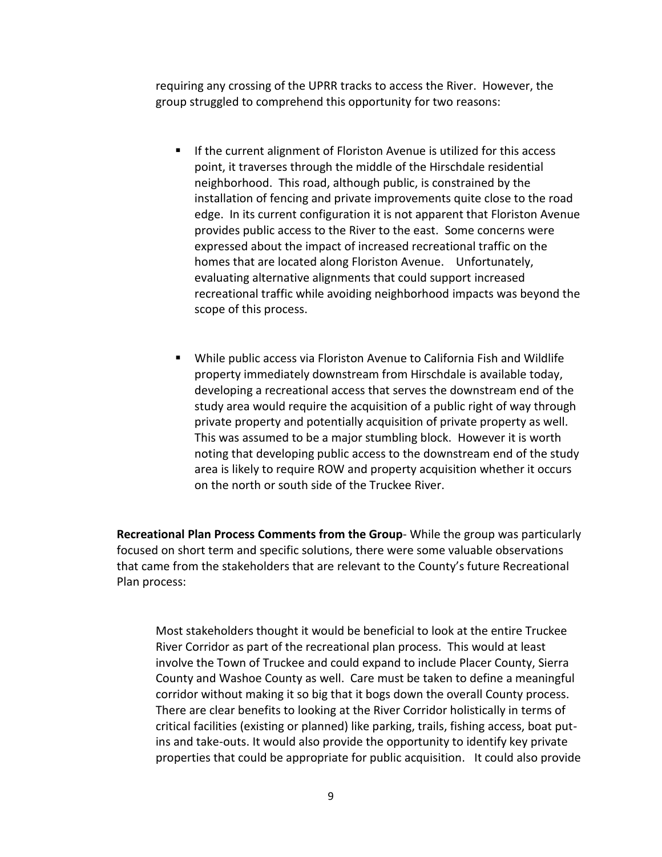requiring any crossing of the UPRR tracks to access the River. However, the group struggled to comprehend this opportunity for two reasons:

- If the current alignment of Floriston Avenue is utilized for this access point, it traverses through the middle of the Hirschdale residential neighborhood. This road, although public, is constrained by the installation of fencing and private improvements quite close to the road edge. In its current configuration it is not apparent that Floriston Avenue provides public access to the River to the east. Some concerns were expressed about the impact of increased recreational traffic on the homes that are located along Floriston Avenue. Unfortunately, evaluating alternative alignments that could support increased recreational traffic while avoiding neighborhood impacts was beyond the scope of this process.
- While public access via Floriston Avenue to California Fish and Wildlife property immediately downstream from Hirschdale is available today, developing a recreational access that serves the downstream end of the study area would require the acquisition of a public right of way through private property and potentially acquisition of private property as well. This was assumed to be a major stumbling block. However it is worth noting that developing public access to the downstream end of the study area is likely to require ROW and property acquisition whether it occurs on the north or south side of the Truckee River.

**Recreational Plan Process Comments from the Group**- While the group was particularly focused on short term and specific solutions, there were some valuable observations that came from the stakeholders that are relevant to the County's future Recreational Plan process:

Most stakeholders thought it would be beneficial to look at the entire Truckee River Corridor as part of the recreational plan process. This would at least involve the Town of Truckee and could expand to include Placer County, Sierra County and Washoe County as well. Care must be taken to define a meaningful corridor without making it so big that it bogs down the overall County process. There are clear benefits to looking at the River Corridor holistically in terms of critical facilities (existing or planned) like parking, trails, fishing access, boat putins and take-outs. It would also provide the opportunity to identify key private properties that could be appropriate for public acquisition. It could also provide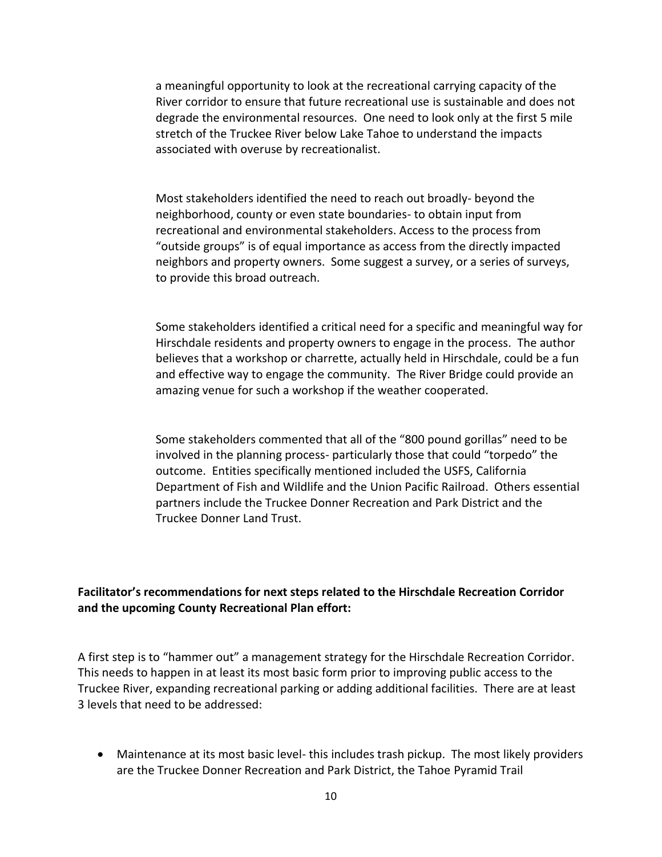a meaningful opportunity to look at the recreational carrying capacity of the River corridor to ensure that future recreational use is sustainable and does not degrade the environmental resources. One need to look only at the first 5 mile stretch of the Truckee River below Lake Tahoe to understand the impacts associated with overuse by recreationalist.

Most stakeholders identified the need to reach out broadly- beyond the neighborhood, county or even state boundaries- to obtain input from recreational and environmental stakeholders. Access to the process from "outside groups" is of equal importance as access from the directly impacted neighbors and property owners. Some suggest a survey, or a series of surveys, to provide this broad outreach.

Some stakeholders identified a critical need for a specific and meaningful way for Hirschdale residents and property owners to engage in the process. The author believes that a workshop or charrette, actually held in Hirschdale, could be a fun and effective way to engage the community. The River Bridge could provide an amazing venue for such a workshop if the weather cooperated.

Some stakeholders commented that all of the "800 pound gorillas" need to be involved in the planning process- particularly those that could "torpedo" the outcome. Entities specifically mentioned included the USFS, California Department of Fish and Wildlife and the Union Pacific Railroad. Others essential partners include the Truckee Donner Recreation and Park District and the Truckee Donner Land Trust.

## **Facilitator's recommendations for next steps related to the Hirschdale Recreation Corridor and the upcoming County Recreational Plan effort:**

A first step is to "hammer out" a management strategy for the Hirschdale Recreation Corridor. This needs to happen in at least its most basic form prior to improving public access to the Truckee River, expanding recreational parking or adding additional facilities. There are at least 3 levels that need to be addressed:

 Maintenance at its most basic level- this includes trash pickup. The most likely providers are the Truckee Donner Recreation and Park District, the Tahoe Pyramid Trail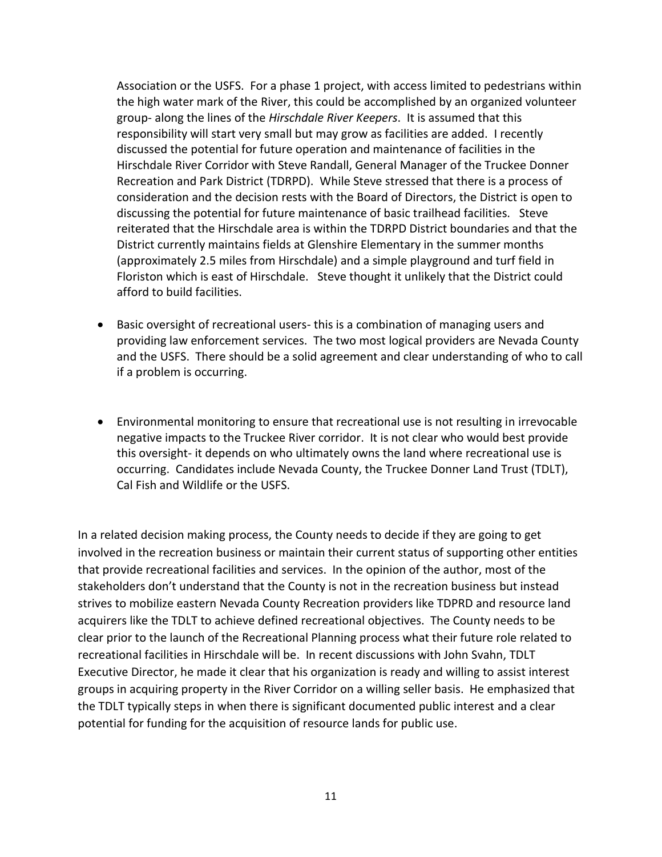Association or the USFS. For a phase 1 project, with access limited to pedestrians within the high water mark of the River, this could be accomplished by an organized volunteer group- along the lines of the *Hirschdale River Keepers*. It is assumed that this responsibility will start very small but may grow as facilities are added. I recently discussed the potential for future operation and maintenance of facilities in the Hirschdale River Corridor with Steve Randall, General Manager of the Truckee Donner Recreation and Park District (TDRPD). While Steve stressed that there is a process of consideration and the decision rests with the Board of Directors, the District is open to discussing the potential for future maintenance of basic trailhead facilities. Steve reiterated that the Hirschdale area is within the TDRPD District boundaries and that the District currently maintains fields at Glenshire Elementary in the summer months (approximately 2.5 miles from Hirschdale) and a simple playground and turf field in Floriston which is east of Hirschdale. Steve thought it unlikely that the District could afford to build facilities.

- Basic oversight of recreational users- this is a combination of managing users and providing law enforcement services. The two most logical providers are Nevada County and the USFS. There should be a solid agreement and clear understanding of who to call if a problem is occurring.
- Environmental monitoring to ensure that recreational use is not resulting in irrevocable negative impacts to the Truckee River corridor. It is not clear who would best provide this oversight- it depends on who ultimately owns the land where recreational use is occurring. Candidates include Nevada County, the Truckee Donner Land Trust (TDLT), Cal Fish and Wildlife or the USFS.

In a related decision making process, the County needs to decide if they are going to get involved in the recreation business or maintain their current status of supporting other entities that provide recreational facilities and services. In the opinion of the author, most of the stakeholders don't understand that the County is not in the recreation business but instead strives to mobilize eastern Nevada County Recreation providers like TDPRD and resource land acquirers like the TDLT to achieve defined recreational objectives. The County needs to be clear prior to the launch of the Recreational Planning process what their future role related to recreational facilities in Hirschdale will be. In recent discussions with John Svahn, TDLT Executive Director, he made it clear that his organization is ready and willing to assist interest groups in acquiring property in the River Corridor on a willing seller basis. He emphasized that the TDLT typically steps in when there is significant documented public interest and a clear potential for funding for the acquisition of resource lands for public use.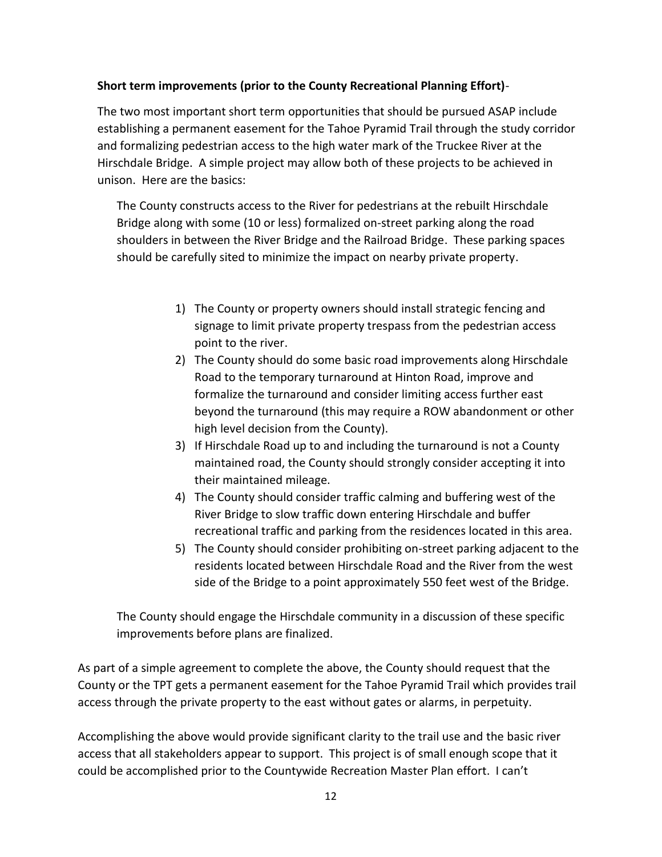# **Short term improvements (prior to the County Recreational Planning Effort)**-

The two most important short term opportunities that should be pursued ASAP include establishing a permanent easement for the Tahoe Pyramid Trail through the study corridor and formalizing pedestrian access to the high water mark of the Truckee River at the Hirschdale Bridge. A simple project may allow both of these projects to be achieved in unison. Here are the basics:

The County constructs access to the River for pedestrians at the rebuilt Hirschdale Bridge along with some (10 or less) formalized on-street parking along the road shoulders in between the River Bridge and the Railroad Bridge. These parking spaces should be carefully sited to minimize the impact on nearby private property.

- 1) The County or property owners should install strategic fencing and signage to limit private property trespass from the pedestrian access point to the river.
- 2) The County should do some basic road improvements along Hirschdale Road to the temporary turnaround at Hinton Road, improve and formalize the turnaround and consider limiting access further east beyond the turnaround (this may require a ROW abandonment or other high level decision from the County).
- 3) If Hirschdale Road up to and including the turnaround is not a County maintained road, the County should strongly consider accepting it into their maintained mileage.
- 4) The County should consider traffic calming and buffering west of the River Bridge to slow traffic down entering Hirschdale and buffer recreational traffic and parking from the residences located in this area.
- 5) The County should consider prohibiting on-street parking adjacent to the residents located between Hirschdale Road and the River from the west side of the Bridge to a point approximately 550 feet west of the Bridge.

The County should engage the Hirschdale community in a discussion of these specific improvements before plans are finalized.

As part of a simple agreement to complete the above, the County should request that the County or the TPT gets a permanent easement for the Tahoe Pyramid Trail which provides trail access through the private property to the east without gates or alarms, in perpetuity.

Accomplishing the above would provide significant clarity to the trail use and the basic river access that all stakeholders appear to support. This project is of small enough scope that it could be accomplished prior to the Countywide Recreation Master Plan effort. I can't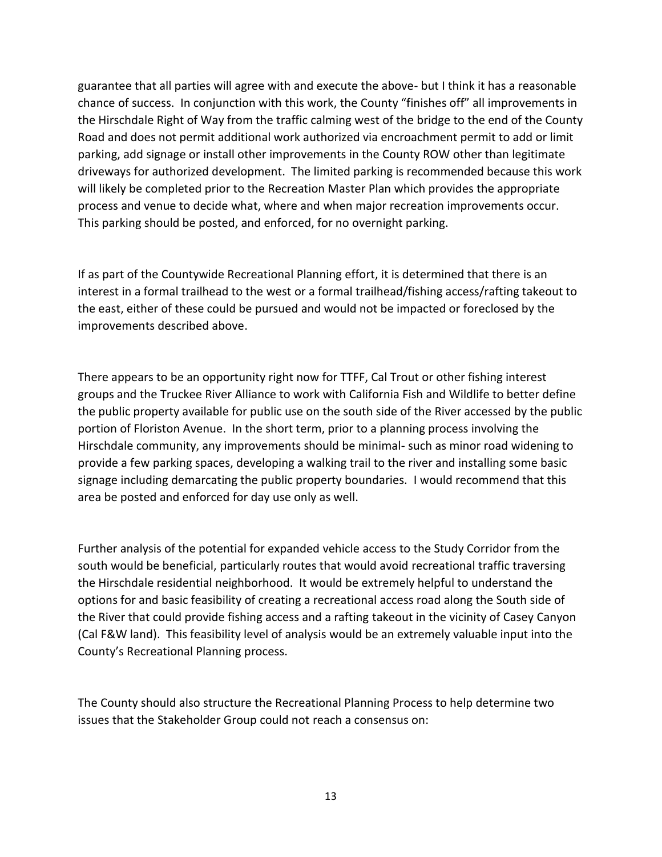guarantee that all parties will agree with and execute the above- but I think it has a reasonable chance of success. In conjunction with this work, the County "finishes off" all improvements in the Hirschdale Right of Way from the traffic calming west of the bridge to the end of the County Road and does not permit additional work authorized via encroachment permit to add or limit parking, add signage or install other improvements in the County ROW other than legitimate driveways for authorized development. The limited parking is recommended because this work will likely be completed prior to the Recreation Master Plan which provides the appropriate process and venue to decide what, where and when major recreation improvements occur. This parking should be posted, and enforced, for no overnight parking.

If as part of the Countywide Recreational Planning effort, it is determined that there is an interest in a formal trailhead to the west or a formal trailhead/fishing access/rafting takeout to the east, either of these could be pursued and would not be impacted or foreclosed by the improvements described above.

There appears to be an opportunity right now for TTFF, Cal Trout or other fishing interest groups and the Truckee River Alliance to work with California Fish and Wildlife to better define the public property available for public use on the south side of the River accessed by the public portion of Floriston Avenue. In the short term, prior to a planning process involving the Hirschdale community, any improvements should be minimal- such as minor road widening to provide a few parking spaces, developing a walking trail to the river and installing some basic signage including demarcating the public property boundaries. I would recommend that this area be posted and enforced for day use only as well.

Further analysis of the potential for expanded vehicle access to the Study Corridor from the south would be beneficial, particularly routes that would avoid recreational traffic traversing the Hirschdale residential neighborhood. It would be extremely helpful to understand the options for and basic feasibility of creating a recreational access road along the South side of the River that could provide fishing access and a rafting takeout in the vicinity of Casey Canyon (Cal F&W land). This feasibility level of analysis would be an extremely valuable input into the County's Recreational Planning process.

The County should also structure the Recreational Planning Process to help determine two issues that the Stakeholder Group could not reach a consensus on: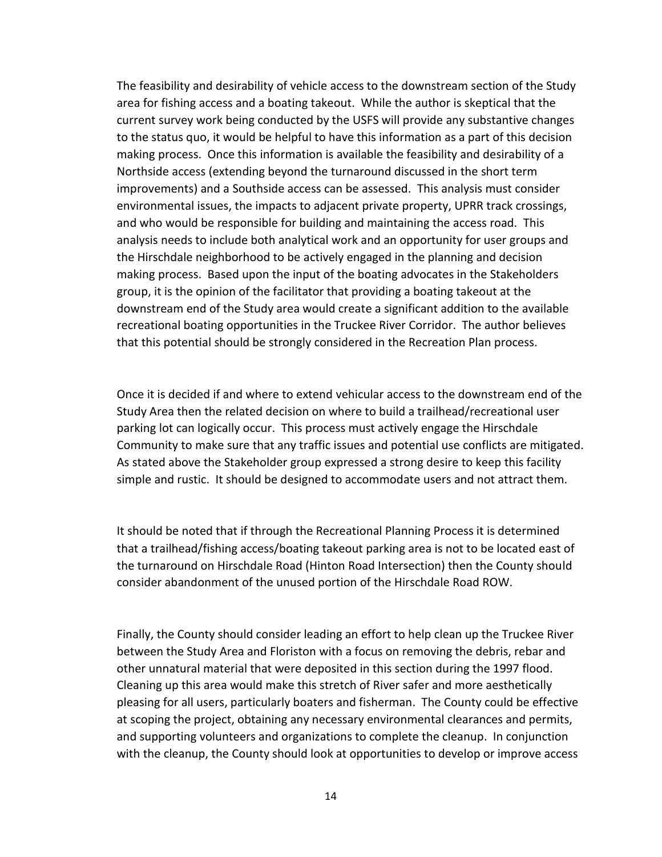The feasibility and desirability of vehicle access to the downstream section of the Study area for fishing access and a boating takeout. While the author is skeptical that the current survey work being conducted by the USFS will provide any substantive changes to the status quo, it would be helpful to have this information as a part of this decision making process. Once this information is available the feasibility and desirability of a Northside access (extending beyond the turnaround discussed in the short term improvements) and a Southside access can be assessed. This analysis must consider environmental issues, the impacts to adjacent private property, UPRR track crossings, and who would be responsible for building and maintaining the access road. This analysis needs to include both analytical work and an opportunity for user groups and the Hirschdale neighborhood to be actively engaged in the planning and decision making process. Based upon the input of the boating advocates in the Stakeholders group, it is the opinion of the facilitator that providing a boating takeout at the downstream end of the Study area would create a significant addition to the available recreational boating opportunities in the Truckee River Corridor. The author believes that this potential should be strongly considered in the Recreation Plan process.

Once it is decided if and where to extend vehicular access to the downstream end of the Study Area then the related decision on where to build a trailhead/recreational user parking lot can logically occur. This process must actively engage the Hirschdale Community to make sure that any traffic issues and potential use conflicts are mitigated. As stated above the Stakeholder group expressed a strong desire to keep this facility simple and rustic. It should be designed to accommodate users and not attract them.

It should be noted that if through the Recreational Planning Process it is determined that a trailhead/fishing access/boating takeout parking area is not to be located east of the turnaround on Hirschdale Road (Hinton Road Intersection) then the County should consider abandonment of the unused portion of the Hirschdale Road ROW.

Finally, the County should consider leading an effort to help clean up the Truckee River between the Study Area and Floriston with a focus on removing the debris, rebar and other unnatural material that were deposited in this section during the 1997 flood. Cleaning up this area would make this stretch of River safer and more aesthetically pleasing for all users, particularly boaters and fisherman. The County could be effective at scoping the project, obtaining any necessary environmental clearances and permits, and supporting volunteers and organizations to complete the cleanup. In conjunction with the cleanup, the County should look at opportunities to develop or improve access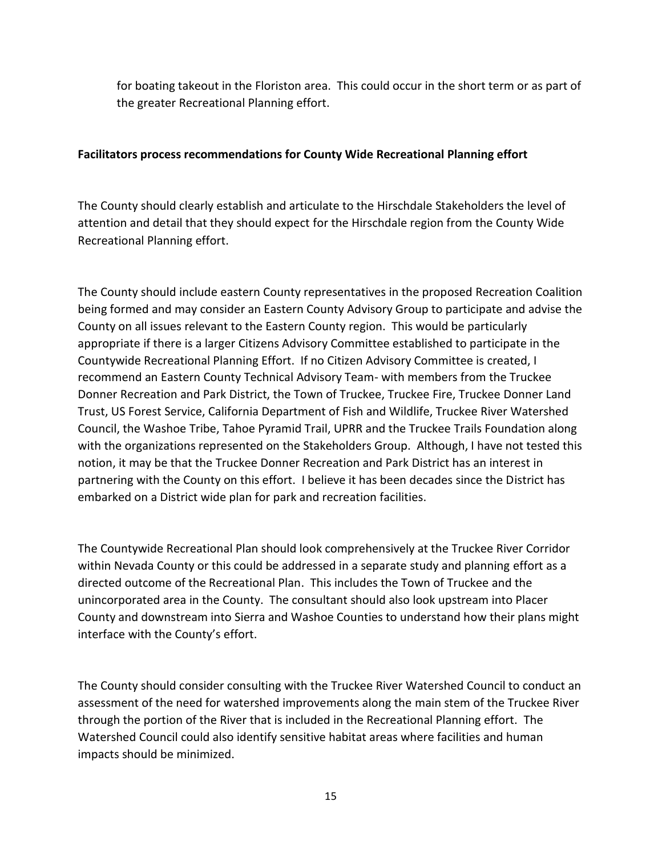for boating takeout in the Floriston area. This could occur in the short term or as part of the greater Recreational Planning effort.

# **Facilitators process recommendations for County Wide Recreational Planning effort**

The County should clearly establish and articulate to the Hirschdale Stakeholders the level of attention and detail that they should expect for the Hirschdale region from the County Wide Recreational Planning effort.

The County should include eastern County representatives in the proposed Recreation Coalition being formed and may consider an Eastern County Advisory Group to participate and advise the County on all issues relevant to the Eastern County region. This would be particularly appropriate if there is a larger Citizens Advisory Committee established to participate in the Countywide Recreational Planning Effort. If no Citizen Advisory Committee is created, I recommend an Eastern County Technical Advisory Team- with members from the Truckee Donner Recreation and Park District, the Town of Truckee, Truckee Fire, Truckee Donner Land Trust, US Forest Service, California Department of Fish and Wildlife, Truckee River Watershed Council, the Washoe Tribe, Tahoe Pyramid Trail, UPRR and the Truckee Trails Foundation along with the organizations represented on the Stakeholders Group. Although, I have not tested this notion, it may be that the Truckee Donner Recreation and Park District has an interest in partnering with the County on this effort. I believe it has been decades since the District has embarked on a District wide plan for park and recreation facilities.

The Countywide Recreational Plan should look comprehensively at the Truckee River Corridor within Nevada County or this could be addressed in a separate study and planning effort as a directed outcome of the Recreational Plan. This includes the Town of Truckee and the unincorporated area in the County. The consultant should also look upstream into Placer County and downstream into Sierra and Washoe Counties to understand how their plans might interface with the County's effort.

The County should consider consulting with the Truckee River Watershed Council to conduct an assessment of the need for watershed improvements along the main stem of the Truckee River through the portion of the River that is included in the Recreational Planning effort. The Watershed Council could also identify sensitive habitat areas where facilities and human impacts should be minimized.